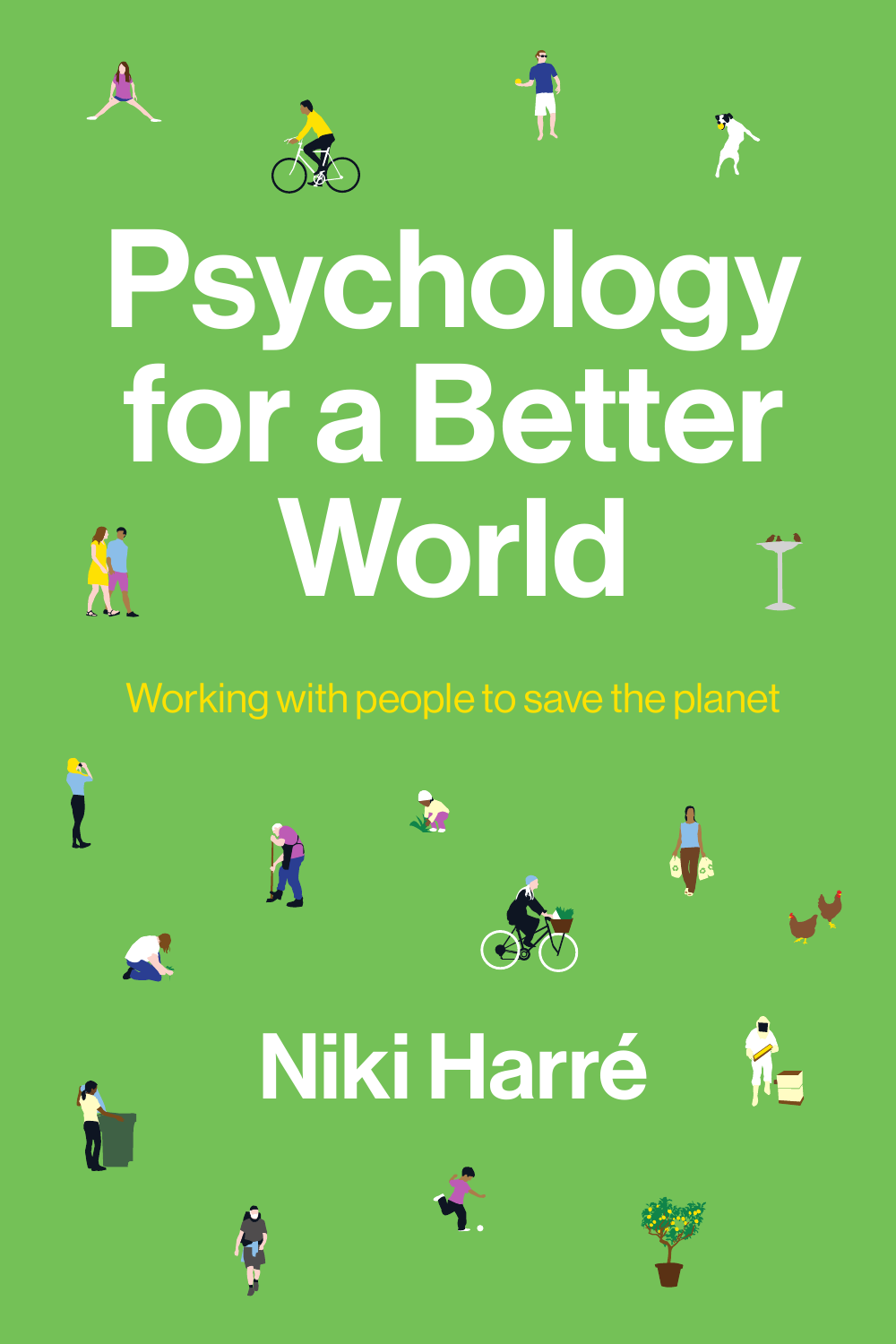





# Working with people to save the planet

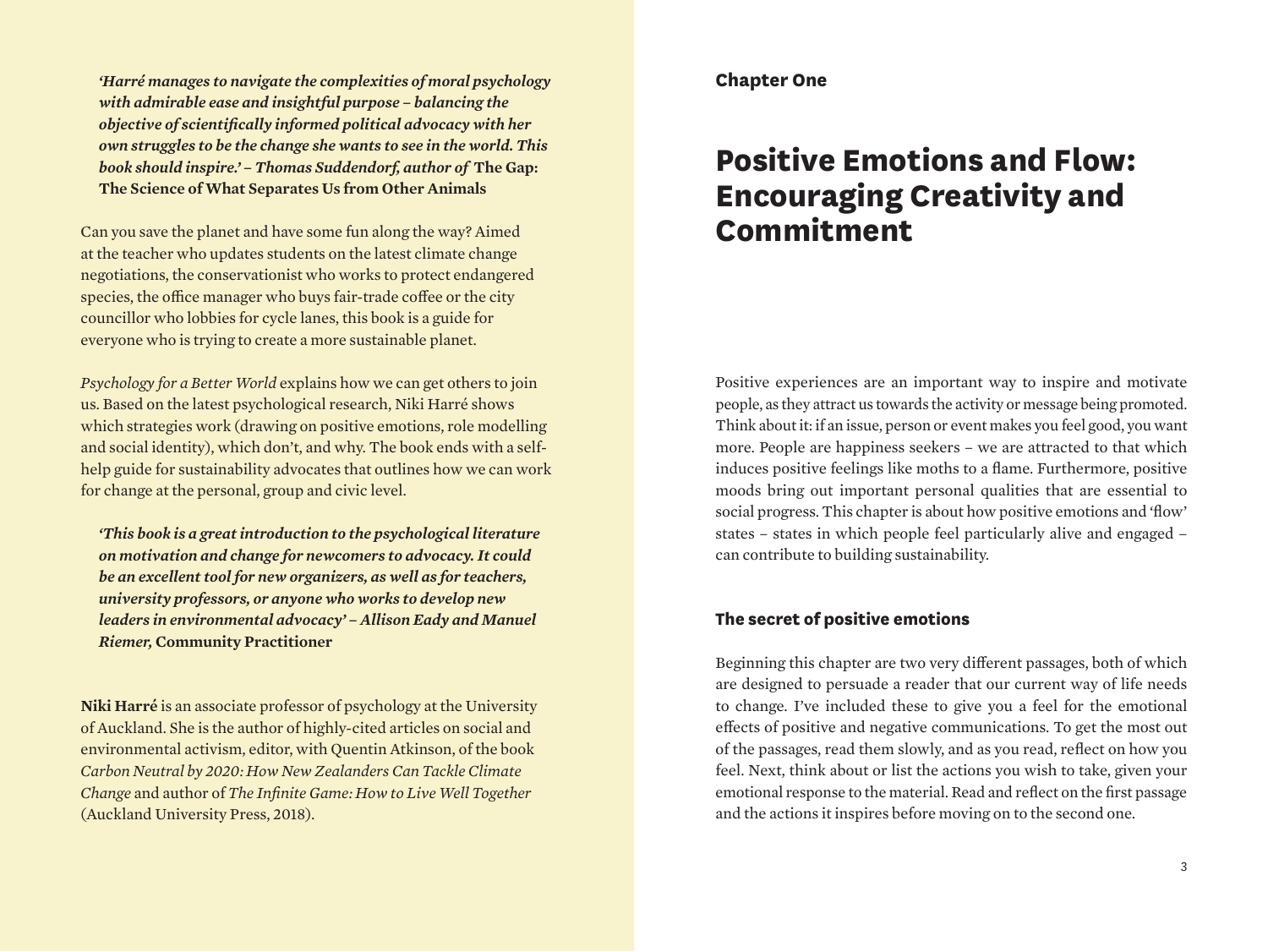*'Harré manages to navigate the complexities of moral psychology with admirable ease and insightful purpose – balancing the objective of scientifically informed political advocacy with her own struggles to be the change she wants to see in the world. This book should inspire.' – Thomas Suddendorf, author of* **The Gap: The Science of What Separates Us from Other Animals**

Can you save the planet and have some fun along the way? Aimed at the teacher who updates students on the latest climate change negotiations, the conservationist who works to protect endangered species, the office manager who buys fair-trade coffee or the city councillor who lobbies for cycle lanes, this book is a guide for everyone who is trying to create a more sustainable planet.

*Psychology for a Better World* explains how we can get others to join us. Based on the latest psychological research, Niki Harré shows which strategies work (drawing on positive emotions, role modelling and social identity), which don't, and why. The book ends with a selfhelp guide for sustainability advocates that outlines how we can work for change at the personal, group and civic level.

*'This book is a great introduction to the psychological literature on motivation and change for newcomers to advocacy. It could be an excellent tool for new organizers, as well as for teachers, university professors, or anyone who works to develop new leaders in environmental advocacy' – Allison Eady and Manuel Riemer,* **Community Practitioner**

**Niki Harré** is an associate professor of psychology at the University of Auckland. She is the author of highly-cited articles on social and environmental activism, editor, with Quentin Atkinson, of the book *Carbon Neutral by 2020: How New Zealanders Can Tackle Climate Change* and author of *The Infinite Game: How to Live Well Together* (Auckland University Press, 2018).

## **Chapter One**

# **Positive Emotions and Flow: Encouraging Creativity and Commitment**

Positive experiences are an important way to inspire and motivate people, as they attract us towards the activity or message being promoted. Think about it: if an issue, person or event makes you feel good, you want more. People are happiness seekers – we are attracted to that which induces positive feelings like moths to a flame. Furthermore, positive moods bring out important personal qualities that are essential to social progress. This chapter is about how positive emotions and 'flow' states – states in which people feel particularly alive and engaged – can contribute to building sustainability.

# **The secret of positive emotions**

Beginning this chapter are two very different passages, both of which are designed to persuade a reader that our current way of life needs to change. I've included these to give you a feel for the emotional effects of positive and negative communications. To get the most out of the passages, read them slowly, and as you read, reflect on how you feel. Next, think about or list the actions you wish to take, given your emotional response to the material. Read and reflect on the first passage and the actions it inspires before moving on to the second one.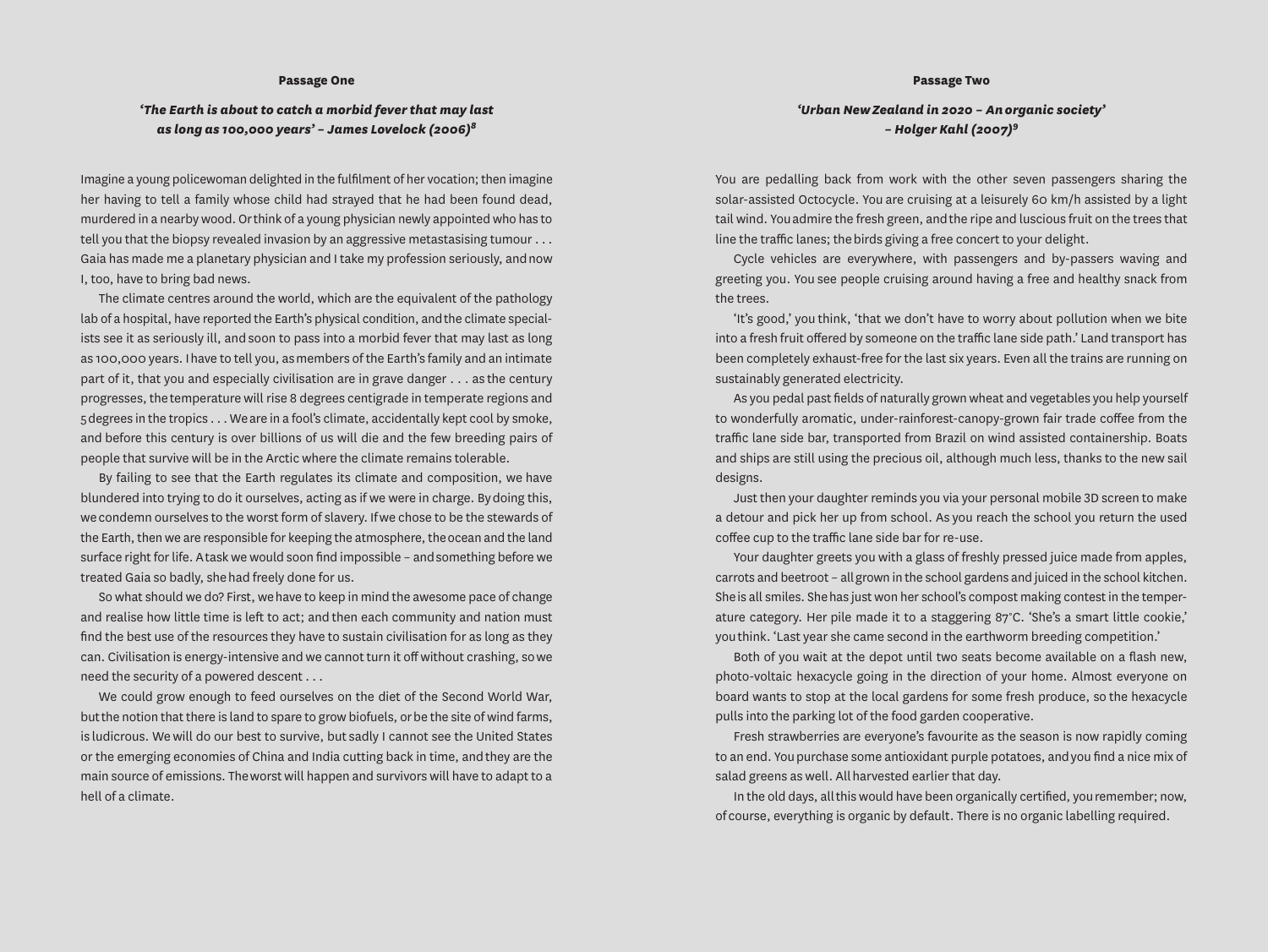#### **Passage Two**

#### **Passage One**

### *'The Earth is about to catch a morbid fever that may last as long as 100,000 years' – James Lovelock (2006)8*

Imagine a young policewoman delighted in the fulfilment of her vocation; then imagine her having to tell a family whose child had strayed that he had been found dead, murdered in a nearby wood. Or think of a young physician newly appointed who has to tell you that the biopsy revealed invasion by an aggressive metastasising tumour . . . Gaia has made me a planetary physician and I take my profession seriously, and now I, too, have to bring bad news.

The climate centres around the world, which are the equivalent of the pathology lab of a hospital, have reported the Earth's physical condition, and the climate specialists see it as seriously ill, and soon to pass into a morbid fever that may last as long as 100,000 years. I have to tell you, as members of the Earth's family and an intimate part of it, that you and especially civilisation are in grave danger . . . as the century progresses, the temperature will rise 8 degrees centigrade in temperate regions and 5 degrees in the tropics . . . We are in a fool's climate, accidentally kept cool by smoke, and before this century is over billions of us will die and the few breeding pairs of people that survive will be in the Arctic where the climate remains tolerable.

By failing to see that the Earth regulates its climate and composition, we have blundered into trying to do it ourselves, acting as if we were in charge. By doing this, we condemn ourselves to the worst form of slavery. If we chose to be the stewards of the Earth, then we are responsible for keeping the atmosphere, the ocean and the land surface right for life. A task we would soon find impossible – and something before we treated Gaia so badly, she had freely done for us.

So what should we do? First, we have to keep in mind the awesome pace of change and realise how little time is left to act; and then each community and nation must find the best use of the resources they have to sustain civilisation for as long as they can. Civilisation is energy-intensive and we cannot turn it off without crashing, so we need the security of a powered descent . . .

We could grow enough to feed ourselves on the diet of the Second World War, but the notion that there is land to spare to grow biofuels, or be the site of wind farms, is ludicrous. We will do our best to survive, but sadly I cannot see the United States or the emerging economies of China and India cutting back in time, and they are the main source of emissions. The worst will happen and survivors will have to adapt to a hell of a climate.

*'Urban New Zealand in 2020 – An organic society' – Holger Kahl (2007)<sup>9</sup>*

You are pedalling back from work with the other seven passengers sharing the solar-assisted Octocycle. You are cruising at a leisurely 60 km/h assisted by a light tail wind. You admire the fresh green, and the ripe and luscious fruit on the trees that line the traffic lanes; the birds giving a free concert to your delight.

Cycle vehicles are everywhere, with passengers and by-passers waving and greeting you. You see people cruising around having a free and healthy snack from the trees.

'It's good,' you think, 'that we don't have to worry about pollution when we bite into a fresh fruit offered by someone on the traffic lane side path.' Land transport has been completely exhaust-free for the last six years. Even all the trains are running on sustainably generated electricity.

As you pedal past fields of naturally grown wheat and vegetables you help yourself to wonderfully aromatic, under-rainforest-canopy-grown fair trade coffee from the traffic lane side bar, transported from Brazil on wind assisted containership. Boats and ships are still using the precious oil, although much less, thanks to the new sail designs.

Just then your daughter reminds you via your personal mobile 3D screen to make a detour and pick her up from school. As you reach the school you return the used coffee cup to the traffic lane side bar for re-use.

Your daughter greets you with a glass of freshly pressed juice made from apples, carrots and beetroot – all grown in the school gardens and juiced in the school kitchen. She is all smiles. She has just won her school's compost making contest in the temperature category. Her pile made it to a staggering 87°C. 'She's a smart little cookie,' you think. 'Last year she came second in the earthworm breeding competition.'

Both of you wait at the depot until two seats become available on a flash new, photo-voltaic hexacycle going in the direction of your home. Almost everyone on board wants to stop at the local gardens for some fresh produce, so the hexacycle pulls into the parking lot of the food garden cooperative.

Fresh strawberries are everyone's favourite as the season is now rapidly coming to an end. You purchase some antioxidant purple potatoes, and you find a nice mix of salad greens as well. All harvested earlier that day.

In the old days, all this would have been organically certified, you remember; now, of course, everything is organic by default. There is no organic labelling required.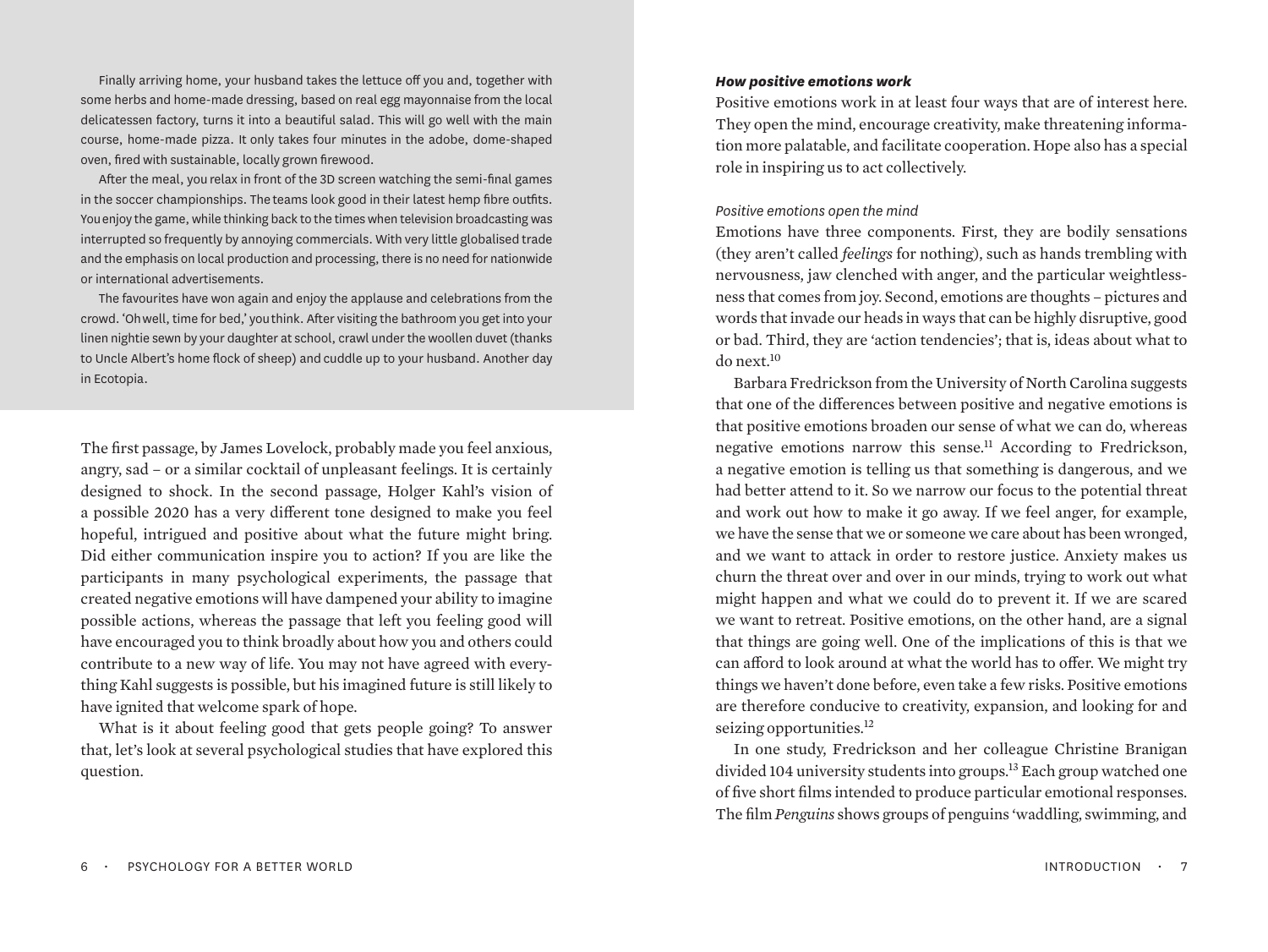Finally arriving home, your husband takes the lettuce off you and, together with some herbs and home-made dressing, based on real egg mayonnaise from the local delicatessen factory, turns it into a beautiful salad. This will go well with the main course, home-made pizza. It only takes four minutes in the adobe, dome-shaped oven, fired with sustainable, locally grown firewood.

After the meal, you relax in front of the 3D screen watching the semi-final games in the soccer championships. The teams look good in their latest hemp fibre outfits. You enjoy the game, while thinking back to the times when television broadcasting was interrupted so frequently by annoying commercials. With very little globalised trade and the emphasis on local production and processing, there is no need for nationwide or international advertisements.

The favourites have won again and enjoy the applause and celebrations from the crowd. 'Oh well, time for bed,' you think. After visiting the bathroom you get into your linen nightie sewn by your daughter at school, crawl under the woollen duvet (thanks to Uncle Albert's home flock of sheep) and cuddle up to your husband. Another day in Ecotopia.

The first passage, by James Lovelock, probably made you feel anxious, angry, sad – or a similar cocktail of unpleasant feelings. It is certainly designed to shock. In the second passage, Holger Kahl's vision of a possible 2020 has a very different tone designed to make you feel hopeful, intrigued and positive about what the future might bring. Did either communication inspire you to action? If you are like the participants in many psychological experiments, the passage that created negative emotions will have dampened your ability to imagine possible actions, whereas the passage that left you feeling good will have encouraged you to think broadly about how you and others could contribute to a new way of life. You may not have agreed with everything Kahl suggests is possible, but his imagined future is still likely to have ignited that welcome spark of hope.

What is it about feeling good that gets people going? To answer that, let's look at several psychological studies that have explored this question.

## *How positive emotions work*

Positive emotions work in at least four ways that are of interest here. They open the mind, encourage creativity, make threatening information more palatable, and facilitate cooperation. Hope also has a special role in inspiring us to act collectively.

## *Positive emotions open the mind*

Emotions have three components. First, they are bodily sensations (they aren't called *feelings* for nothing), such as hands trembling with nervousness, jaw clenched with anger, and the particular weightlessness that comes from joy. Second, emotions are thoughts – pictures and words that invade our heads in ways that can be highly disruptive, good or bad. Third, they are 'action tendencies'; that is, ideas about what to do next.10

Barbara Fredrickson from the University of North Carolina suggests that one of the differences between positive and negative emotions is that positive emotions broaden our sense of what we can do, whereas negative emotions narrow this sense.<sup>11</sup> According to Fredrickson, a negative emotion is telling us that something is dangerous, and we had better attend to it. So we narrow our focus to the potential threat and work out how to make it go away. If we feel anger, for example, we have the sense that we or someone we care about has been wronged, and we want to attack in order to restore justice. Anxiety makes us churn the threat over and over in our minds, trying to work out what might happen and what we could do to prevent it. If we are scared we want to retreat. Positive emotions, on the other hand, are a signal that things are going well. One of the implications of this is that we can afford to look around at what the world has to offer. We might try things we haven't done before, even take a few risks. Positive emotions are therefore conducive to creativity, expansion, and looking for and seizing opportunities.<sup>12</sup>

In one study, Fredrickson and her colleague Christine Branigan divided 104 university students into groups.<sup>13</sup> Each group watched one of five short films intended to produce particular emotional responses. The film *Penguins* shows groups of penguins 'waddling, swimming, and